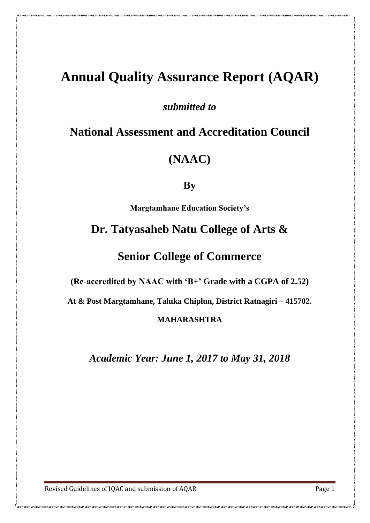# **Annual Quality Assurance Report (AQAR)**

*submitted to*

**National Assessment and Accreditation Council**

**(NAAC)**

**By**

**Margtamhane Education Society's**

# **Dr. Tatyasaheb Natu College of Arts &**

**Senior College of Commerce**

**(Re-accredited by NAAC with 'B+' Grade with a CGPA of 2.52)**

**At & Post Margtamhane, Taluka Chiplun, District Ratnagiri – 415702.**

**MAHARASHTRA**

*Academic Year: June 1, 2017 to May 31, 2018*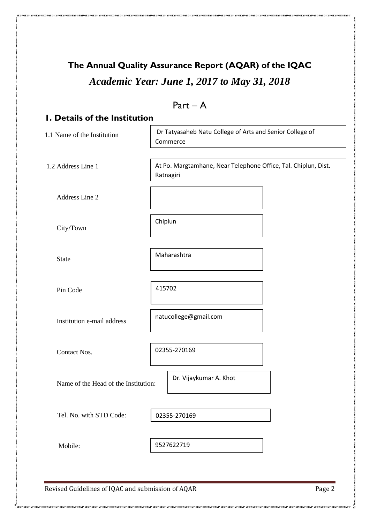# **The Annual Quality Assurance Report (AQAR) of the IQAC** *Academic Year: June 1, 2017 to May 31, 2018*

|                                                   | $Part - A$                                                                  |  |
|---------------------------------------------------|-----------------------------------------------------------------------------|--|
| <b>I. Details of the Institution</b>              |                                                                             |  |
| 1.1 Name of the Institution                       | Dr Tatyasaheb Natu College of Arts and Senior College of<br>Commerce        |  |
| 1.2 Address Line 1                                | At Po. Margtamhane, Near Telephone Office, Tal. Chiplun, Dist.<br>Ratnagiri |  |
| Address Line 2                                    |                                                                             |  |
| City/Town                                         | Chiplun                                                                     |  |
| <b>State</b>                                      | Maharashtra                                                                 |  |
| Pin Code                                          | 415702                                                                      |  |
| Institution e-mail address                        | natucollege@gmail.com                                                       |  |
| Contact Nos.                                      | 02355-270169                                                                |  |
| Name of the Head of the Institution:              | Dr. Vijaykumar A. Khot                                                      |  |
| Tel. No. with STD Code:                           | 02355-270169                                                                |  |
| Mobile:                                           | 9527622719                                                                  |  |
| Revised Guidelines of IQAC and submission of AQAR | Page 2                                                                      |  |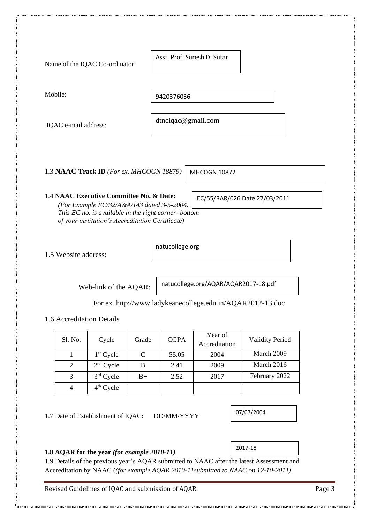Name of the IQAC Co-ordinator:

Asst. Prof. Suresh D. Sutar

Mobile:

9420376036

IQAC e-mail address:

dtnciqac@gmail.com

1.3 **NAAC Track ID** *(For ex. MHCOGN 18879)*

MHCOGN 10872

### 1.4 **NAAC Executive Committee No. & Date:**

*(For Example EC/32/A&A/143 dated 3-5-2004. This EC no. is available in the right corner- bottom of your institution's Accreditation Certificate)* EC/55/RAR/026 Date 27/03/2011

1.5 Website address:

natucollege.org

Web-link of the AQAR:

natucollege.org/AQAR/AQAR2017-18.pdf

2017-18

07/07/2004

For ex. http://www.ladykeanecollege.edu.in/AQAR2012-13.doc

1.6 Accreditation Details

| Sl. No. | Cycle       | Grade | <b>CGPA</b> | Year of<br>Accreditation | <b>Validity Period</b> |
|---------|-------------|-------|-------------|--------------------------|------------------------|
|         | $1st$ Cycle |       | 55.05       | 2004                     | March 2009             |
|         | $2nd$ Cycle | B     | 2.41        | 2009                     | March 2016             |
| 3       | $3rd$ Cycle | $B+$  | 2.52        | 2017                     | February 2022          |
|         | $4th$ Cycle |       |             |                          |                        |

1.7 Date of Establishment of IQAC: DD/MM/YYYY

#### **1.8 AQAR for the year** *(for example 2010-11)*

1.9 Details of the previous year's AQAR submitted to NAAC after the latest Assessment and Accreditation by NAAC (*(for example AQAR 2010-11submitted to NAAC on 12-10-2011)*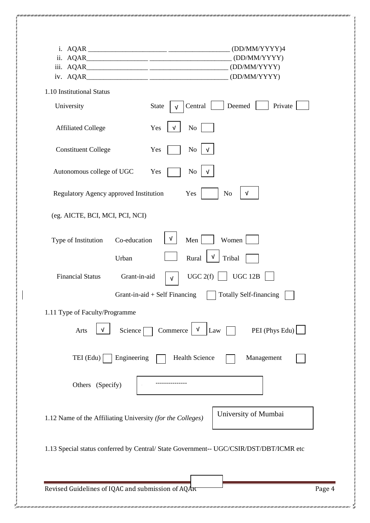|                                                            | (DD/MM/YYYY)4                                                                          |
|------------------------------------------------------------|----------------------------------------------------------------------------------------|
|                                                            | (DD/MM/YYYY)<br>(DD/MM/YYYY)                                                           |
|                                                            | (DD/MM/YYYY)                                                                           |
| 1.10 Institutional Status                                  |                                                                                        |
| University                                                 | Deemed<br>Private<br><b>State</b><br>Central                                           |
| <b>Affiliated College</b>                                  | No<br>Yes<br>V                                                                         |
| <b>Constituent College</b>                                 | N <sub>0</sub><br>Yes                                                                  |
| Autonomous college of UGC                                  | Yes<br>No                                                                              |
| Regulatory Agency approved Institution                     | Yes<br>N <sub>o</sub><br>$\sqrt{ }$                                                    |
| (eg. AICTE, BCI, MCI, PCI, NCI)                            |                                                                                        |
| Co-education<br>Type of Institution                        | Women<br>ν<br>Men                                                                      |
| Urban                                                      | V<br>Rural<br>Tribal                                                                   |
| Grant-in-aid<br><b>Financial Status</b>                    | UGC $2(f)$<br><b>UGC 12B</b><br>$\sqrt{ }$                                             |
|                                                            | <b>Totally Self-financing</b><br>Grant-in-aid $+$ Self Financing                       |
| 1.11 Type of Faculty/Programme                             |                                                                                        |
| V<br>Science<br>Arts                                       | PEI (Phys Edu)<br>Commerce<br>$\mathbf{v}$<br>Law                                      |
| Engineering<br>TEI (Edu)                                   | <b>Health Science</b><br>Management                                                    |
| Others (Specify)                                           |                                                                                        |
| 1.12 Name of the Affiliating University (for the Colleges) | University of Mumbai                                                                   |
|                                                            | 1.13 Special status conferred by Central/ State Government-- UGC/CSIR/DST/DBT/ICMR etc |
|                                                            |                                                                                        |
|                                                            |                                                                                        |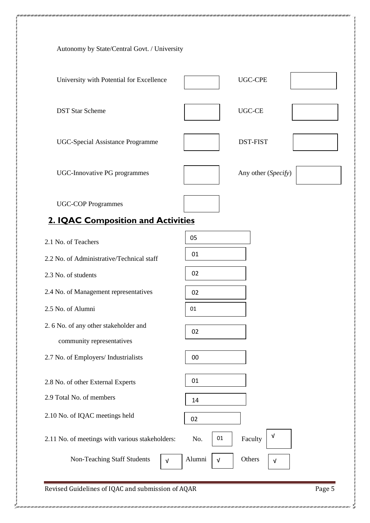| Autonomy by State/Central Govt. / University                       |                                    |
|--------------------------------------------------------------------|------------------------------------|
| University with Potential for Excellence                           | <b>UGC-CPE</b>                     |
| <b>DST Star Scheme</b>                                             | <b>UGC-CE</b>                      |
| <b>UGC-Special Assistance Programme</b>                            | <b>DST-FIST</b>                    |
| UGC-Innovative PG programmes                                       | Any other (Specify)                |
| <b>UGC-COP Programmes</b>                                          |                                    |
| 2. IQAC Composition and Activities                                 |                                    |
| 2.1 No. of Teachers                                                | 05                                 |
| 2.2 No. of Administrative/Technical staff                          | 01                                 |
| 2.3 No. of students                                                | 02                                 |
| 2.4 No. of Management representatives                              | 02                                 |
| 2.5 No. of Alumni                                                  | 01                                 |
| 2. 6 No. of any other stakeholder and<br>community representatives | 02                                 |
| 2.7 No. of Employers/ Industrialists                               | 00                                 |
| 2.8 No. of other External Experts                                  | 01                                 |
| 2.9 Total No. of members                                           | 14                                 |
| 2.10 No. of IQAC meetings held                                     | 02                                 |
| 2.11 No. of meetings with various stakeholders:                    | $\sqrt{ }$<br>01<br>No.<br>Faculty |
|                                                                    |                                    |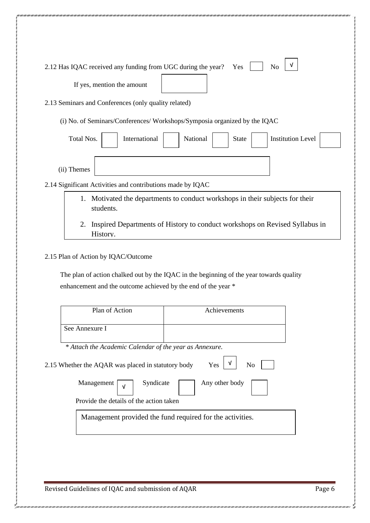| 2.12 Has IQAC received any funding from UGC during the year?  | N <sub>o</sub><br>Yes                                                                   |
|---------------------------------------------------------------|-----------------------------------------------------------------------------------------|
| If yes, mention the amount                                    |                                                                                         |
| 2.13 Seminars and Conferences (only quality related)          |                                                                                         |
|                                                               | (i) No. of Seminars/Conferences/ Workshops/Symposia organized by the IQAC               |
| Total Nos.<br>International                                   | <b>Institution Level</b><br>National<br><b>State</b>                                    |
| (ii) Themes                                                   |                                                                                         |
| 2.14 Significant Activities and contributions made by IQAC    |                                                                                         |
| students.                                                     | 1. Motivated the departments to conduct workshops in their subjects for their           |
|                                                               |                                                                                         |
| 2.<br>History.                                                | Inspired Departments of History to conduct workshops on Revised Syllabus in             |
|                                                               |                                                                                         |
| 2.15 Plan of Action by IQAC/Outcome                           |                                                                                         |
| enhancement and the outcome achieved by the end of the year * | The plan of action chalked out by the IQAC in the beginning of the year towards quality |
|                                                               |                                                                                         |
| Plan of Action                                                | Achievements                                                                            |
| See Annexure I                                                |                                                                                         |
| * Attach the Academic Calendar of the year as Annexure.       |                                                                                         |
| 2.15 Whether the AQAR was placed in statutory body            | Yes<br>N <sub>0</sub>                                                                   |
| Management<br>Syndicate                                       | Any other body                                                                          |
| V<br>Provide the details of the action taken                  |                                                                                         |

aan saan saan saan saan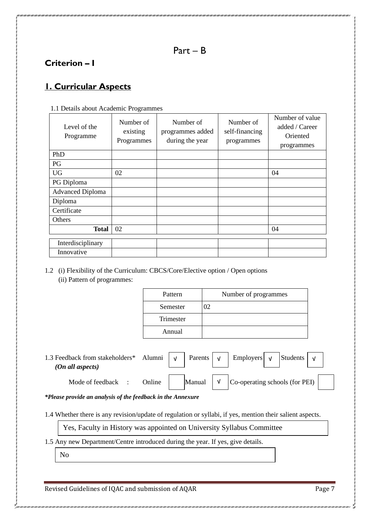### **Criterion – I**

### **1. Curricular Aspects**

| Level of the<br>Programme | Number of<br>existing<br>Programmes | Number of<br>programmes added<br>during the year | Number of<br>self-financing<br>programmes | Number of value<br>added / Career<br>Oriented<br>programmes |
|---------------------------|-------------------------------------|--------------------------------------------------|-------------------------------------------|-------------------------------------------------------------|
| PhD                       |                                     |                                                  |                                           |                                                             |
| PG                        |                                     |                                                  |                                           |                                                             |
| <b>UG</b>                 | 02                                  |                                                  |                                           | 04                                                          |
| PG Diploma                |                                     |                                                  |                                           |                                                             |
| <b>Advanced Diploma</b>   |                                     |                                                  |                                           |                                                             |
| Diploma                   |                                     |                                                  |                                           |                                                             |
| Certificate               |                                     |                                                  |                                           |                                                             |
| Others                    |                                     |                                                  |                                           |                                                             |
| <b>Total</b>              | 02                                  |                                                  |                                           | 04                                                          |
| Interdisciplinary         |                                     |                                                  |                                           |                                                             |
| Innovative                |                                     |                                                  |                                           |                                                             |

1.1 Details about Academic Programmes

#### 1.2 (i) Flexibility of the Curriculum: CBCS/Core/Elective option / Open options (ii) Pattern of programmes:

| Pattern   | Number of programmes |
|-----------|----------------------|
| Semester  | 12                   |
| Trimester |                      |
| Annual    |                      |

1.3 Feedback from stakeholders\* Alumni  $\vert \sqrt{2} \vert$  Parents  $\vert \sqrt{2} \vert$  Employers  $\vert \sqrt{2} \vert$  Students  *(On all aspects)* Mode of feedback : Online  $\parallel$  Manual  $\parallel \sqrt{\parallel}$  Co-operating schools (for PEI) √ √ √ √ √

*\*Please provide an analysis of the feedback in the Annexure*

1.4 Whether there is any revision/update of regulation or syllabi, if yes, mention their salient aspects.

Yes, Faculty in History was appointed on University Syllabus Committee

1.5 Any new Department/Centre introduced during the year. If yes, give details.

No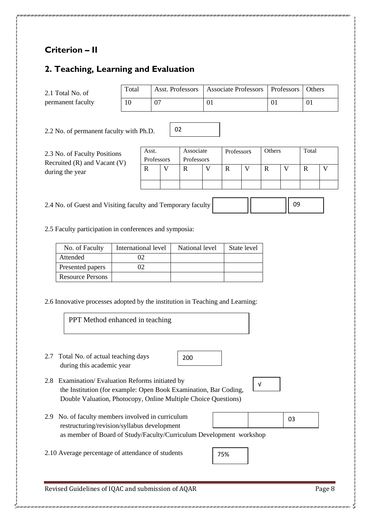# **Criterion – II**

### **2. Teaching, Learning and Evaluation**

2.1 Total No. of permanent faculty

| Total | Asst. Professors   Associate Professors   Professors   Others |  |
|-------|---------------------------------------------------------------|--|
|       |                                                               |  |

2.2 No. of permanent faculty with Ph.D.

2.3 No. of Faculty Positions Recruited (R) and Vacant (V) during the year

| Asst.      | Associate  | Professors | Others | Total |  |
|------------|------------|------------|--------|-------|--|
| Professors | Professors |            |        |       |  |
|            |            |            |        |       |  |
|            |            |            |        |       |  |
|            |            |            |        |       |  |

09

2.4 No. of Guest and Visiting faculty and Temporary faculty

2.5 Faculty participation in conferences and symposia:

| No. of Faculty          | International level | National level | State level |
|-------------------------|---------------------|----------------|-------------|
| Attended                |                     |                |             |
| Presented papers        |                     |                |             |
| <b>Resource Persons</b> |                     |                |             |

02

2.6 Innovative processes adopted by the institution in Teaching and Learning:

| <b>PPT</b> Method enhanced in teaching                                                                                                                                                   |        |
|------------------------------------------------------------------------------------------------------------------------------------------------------------------------------------------|--------|
| Total No. of actual teaching days<br>2.7<br>200<br>during this academic year                                                                                                             |        |
| Examination/Evaluation Reforms initiated by<br>2.8<br>the Institution (for example: Open Book Examination, Bar Coding,<br>Double Valuation, Photocopy, Online Multiple Choice Questions) | v      |
| No. of faculty members involved in curriculum<br>2.9<br>restructuring/revision/syllabus development                                                                                      | 03     |
| as member of Board of Study/Faculty/Curriculum Development workshop<br>2.10 Average percentage of attendance of students                                                                 | 75%    |
| Revised Guidelines of IQAC and submission of AQAR                                                                                                                                        | Page 8 |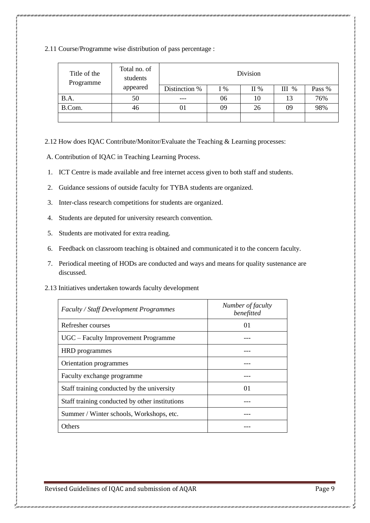2.11 Course/Programme wise distribution of pass percentage :

| Title of the<br>Programme | Total no. of<br>students | Division      |       |     |         |        |  |
|---------------------------|--------------------------|---------------|-------|-----|---------|--------|--|
|                           | appeared                 | Distinction % | $I\%$ | II% | $III$ % | Pass % |  |
| B.A.                      | 50                       |               | 06    | 10  | 13      | 76%    |  |
| B.Com.                    | 46                       | 01            | 09    | 26  | 09      | 98%    |  |
|                           |                          |               |       |     |         |        |  |

2.12 How does IQAC Contribute/Monitor/Evaluate the Teaching & Learning processes:

A. Contribution of IQAC in Teaching Learning Process.

- 1. ICT Centre is made available and free internet access given to both staff and students.
- 2. Guidance sessions of outside faculty for TYBA students are organized.
- 3. Inter-class research competitions for students are organized.
- 4. Students are deputed for university research convention.
- 5. Students are motivated for extra reading.
- 6. Feedback on classroom teaching is obtained and communicated it to the concern faculty.
- 7. Periodical meeting of HODs are conducted and ways and means for quality sustenance are discussed.
- 2.13 Initiatives undertaken towards faculty development

| <b>Faculty / Staff Development Programmes</b>  | Number of faculty<br>benefitted |
|------------------------------------------------|---------------------------------|
| Refresher courses                              | $^{01}$                         |
| UGC – Faculty Improvement Programme            |                                 |
| HRD programmes                                 |                                 |
| Orientation programmes                         |                                 |
| Faculty exchange programme                     |                                 |
| Staff training conducted by the university     | $^{O1}$                         |
| Staff training conducted by other institutions |                                 |
| Summer / Winter schools, Workshops, etc.       |                                 |
| Others                                         |                                 |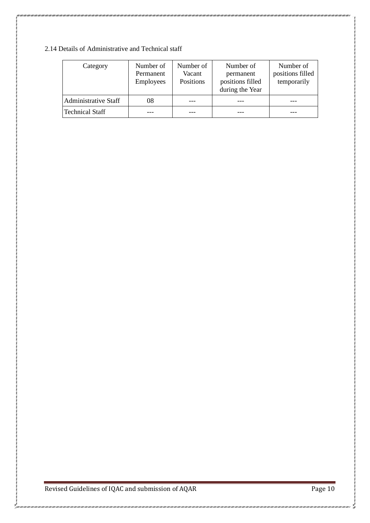### 2.14 Details of Administrative and Technical staff

| Category                    | Number of<br>Permanent<br>Employees | Number of<br>Vacant<br>Positions | Number of<br>permanent<br>positions filled<br>during the Year | Number of<br>positions filled<br>temporarily |
|-----------------------------|-------------------------------------|----------------------------------|---------------------------------------------------------------|----------------------------------------------|
| <b>Administrative Staff</b> | 08                                  |                                  |                                                               |                                              |
| <b>Technical Staff</b>      |                                     |                                  |                                                               |                                              |

Revised Guidelines of IQAC and submission of AQAR Page 10

.<br>1990 - 1990 - 1990 - 1990 - 1990 - 1990 - 1990 - 1990 -

ر<br>محمد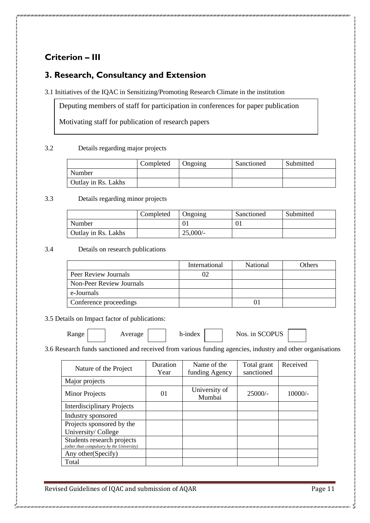# **Criterion – III**

### **3. Research, Consultancy and Extension**

3.1 Initiatives of the IQAC in Sensitizing/Promoting Research Climate in the institution

Deputing members of staff for participation in conferences for paper publication

Motivating staff for publication of research papers

#### 3.2 Details regarding major projects

|                            | Completed | Ongoing | Sanctioned | Submitted |
|----------------------------|-----------|---------|------------|-----------|
| Number                     |           |         |            |           |
| <b>Outlay in Rs. Lakhs</b> |           |         |            |           |

#### 3.3 Details regarding minor projects

|                     | Completed | Ongoing | Sanctioned | Submitted |
|---------------------|-----------|---------|------------|-----------|
| Number              |           |         | 01         |           |
| Outlay in Rs. Lakhs |           | 25,000/ |            |           |

3.4 Details on research publications

|                          | International | <b>National</b> | Others |
|--------------------------|---------------|-----------------|--------|
| Peer Review Journals     |               |                 |        |
| Non-Peer Review Journals |               |                 |        |
| e-Journals               |               |                 |        |
| Conference proceedings   |               |                 |        |

3.5 Details on Impact factor of publications:

 $Re$   $\vert$  Average h-index  $\vert$  Nos. in SCOPUS

3.6 Research funds sanctioned and received from various funding agencies, industry and other organisations

| Nature of the Project                                                   | <b>Duration</b><br>Year | Name of the<br>funding Agency | Total grant<br>sanctioned | Received  |
|-------------------------------------------------------------------------|-------------------------|-------------------------------|---------------------------|-----------|
| Major projects                                                          |                         |                               |                           |           |
| <b>Minor Projects</b>                                                   | 01                      | University of<br>Mumbai       | $25000/-$                 | $10000/-$ |
| <b>Interdisciplinary Projects</b>                                       |                         |                               |                           |           |
| Industry sponsored                                                      |                         |                               |                           |           |
| Projects sponsored by the<br>University/College                         |                         |                               |                           |           |
| Students research projects<br>(other than compulsory by the University) |                         |                               |                           |           |
| Any other (Specify)                                                     |                         |                               |                           |           |
| Total                                                                   |                         |                               |                           |           |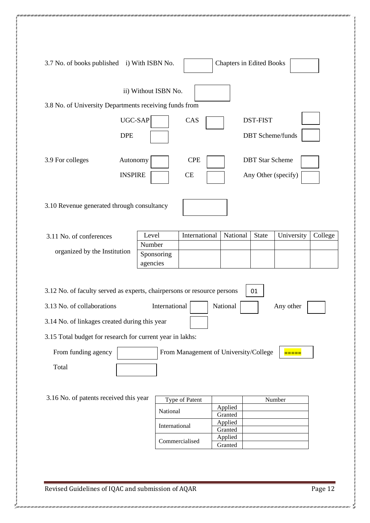| 3.7 No. of books published i) With ISBN No.                                                                                                                                                                        |                      |                                       | <b>Chapters in Edited Books</b> |              |                    |         |
|--------------------------------------------------------------------------------------------------------------------------------------------------------------------------------------------------------------------|----------------------|---------------------------------------|---------------------------------|--------------|--------------------|---------|
|                                                                                                                                                                                                                    | ii) Without ISBN No. |                                       |                                 |              |                    |         |
| 3.8 No. of University Departments receiving funds from                                                                                                                                                             |                      |                                       |                                 |              |                    |         |
| UGC-SAP<br><b>DST-FIST</b><br>CAS<br><b>DPE</b><br><b>DBT</b> Scheme/funds                                                                                                                                         |                      |                                       |                                 |              |                    |         |
| <b>DBT</b> Star Scheme<br>3.9 For colleges<br>Autonomy<br><b>CPE</b><br><b>INSPIRE</b><br>CE<br>Any Other (specify)                                                                                                |                      |                                       |                                 |              |                    |         |
| 3.10 Revenue generated through consultancy                                                                                                                                                                         |                      |                                       |                                 |              |                    |         |
| 3.11 No. of conferences                                                                                                                                                                                            | Level                | International                         | National                        | <b>State</b> | University         | College |
|                                                                                                                                                                                                                    | Number               |                                       |                                 |              |                    |         |
| organized by the Institution                                                                                                                                                                                       | Sponsoring           |                                       |                                 |              |                    |         |
| agencies<br>3.12 No. of faculty served as experts, chairpersons or resource persons<br>01<br>3.13 No. of collaborations<br>National<br>International<br>Any other<br>3.14 No. of linkages created during this year |                      |                                       |                                 |              |                    |         |
| 3.15 Total budget for research for current year in lakhs:                                                                                                                                                          |                      |                                       |                                 |              |                    |         |
| From funding agency<br>Total                                                                                                                                                                                       |                      | From Management of University/College |                                 |              | <mark>=====</mark> |         |
| 3.16 No. of patents received this year                                                                                                                                                                             |                      |                                       |                                 |              |                    |         |
|                                                                                                                                                                                                                    |                      | Type of Patent                        | Applied                         |              | Number             |         |
|                                                                                                                                                                                                                    | National             |                                       | Granted                         |              |                    |         |
|                                                                                                                                                                                                                    | International        |                                       | Applied<br>Granted              |              |                    |         |
|                                                                                                                                                                                                                    |                      | Commercialised                        | Applied                         |              |                    |         |
|                                                                                                                                                                                                                    |                      |                                       | Granted                         |              |                    |         |
|                                                                                                                                                                                                                    |                      |                                       |                                 |              |                    |         |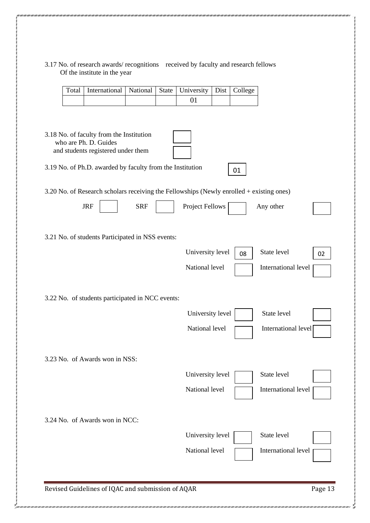| 3.17 No. of research awards/ recognitions received by faculty and research fellows |  |
|------------------------------------------------------------------------------------|--|
| Of the institute in the year                                                       |  |

| Total | International                                                                                                                                                                                                                                                    | National   | <b>State</b> | University             | Dist | College |                     |         |
|-------|------------------------------------------------------------------------------------------------------------------------------------------------------------------------------------------------------------------------------------------------------------------|------------|--------------|------------------------|------|---------|---------------------|---------|
|       |                                                                                                                                                                                                                                                                  |            |              | 01                     |      |         |                     |         |
|       | 3.18 No. of faculty from the Institution<br>who are Ph. D. Guides<br>and students registered under them<br>3.19 No. of Ph.D. awarded by faculty from the Institution<br>3.20 No. of Research scholars receiving the Fellowships (Newly enrolled + existing ones) |            |              |                        |      | 01      |                     |         |
|       | <b>JRF</b>                                                                                                                                                                                                                                                       | <b>SRF</b> |              | <b>Project Fellows</b> |      |         | Any other           |         |
|       | 3.21 No. of students Participated in NSS events:                                                                                                                                                                                                                 |            |              |                        |      |         |                     |         |
|       |                                                                                                                                                                                                                                                                  |            |              | University level       |      | 08      | State level         | 02      |
|       |                                                                                                                                                                                                                                                                  |            |              | National level         |      |         | International level |         |
|       | 3.22 No. of students participated in NCC events:                                                                                                                                                                                                                 |            |              |                        |      |         |                     |         |
|       |                                                                                                                                                                                                                                                                  |            |              | University level       |      |         | State level         |         |
|       |                                                                                                                                                                                                                                                                  |            |              | National level         |      |         | International level |         |
|       | 3.23 No. of Awards won in NSS:                                                                                                                                                                                                                                   |            |              |                        |      |         |                     |         |
|       |                                                                                                                                                                                                                                                                  |            |              | University level       |      |         | State level         |         |
|       |                                                                                                                                                                                                                                                                  |            |              | National level         |      |         | International level |         |
|       | 3.24 No. of Awards won in NCC:                                                                                                                                                                                                                                   |            |              |                        |      |         |                     |         |
|       |                                                                                                                                                                                                                                                                  |            |              | University level       |      |         | State level         |         |
|       |                                                                                                                                                                                                                                                                  |            |              | National level         |      |         | International level |         |
|       | Revised Guidelines of IQAC and submission of AQAR                                                                                                                                                                                                                |            |              |                        |      |         |                     | Page 13 |

.<br>1991 - 1991 - 1991 - 1991 - 1991 - 1991 - 1991 - 1991 - 1991 - 1991 - 1991 - 1991 - 1991 - 1991 - 1991 - 1991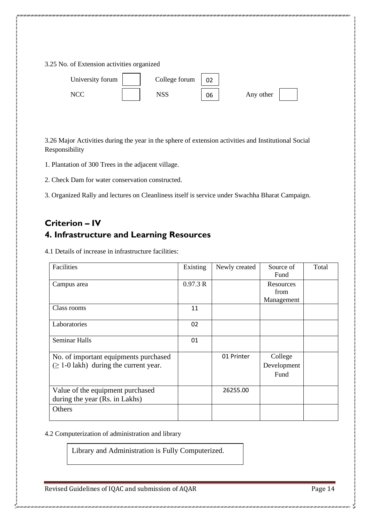3.25 No. of Extension activities organized



3.26 Major Activities during the year in the sphere of extension activities and Institutional Social Responsibility

1. Plantation of 300 Trees in the adjacent village.

2. Check Dam for water conservation constructed.

3. Organized Rally and lectures on Cleanliness itself is service under Swachha Bharat Campaign.

## **Criterion – IV 4. Infrastructure and Learning Resources**

4.1 Details of increase in infrastructure facilities:

| Facilities                                                                           | Existing | Newly created | Source of<br>Fund               | Total |
|--------------------------------------------------------------------------------------|----------|---------------|---------------------------------|-------|
| Campus area                                                                          | 0.97.3 R |               | Resources<br>from<br>Management |       |
| Class rooms                                                                          | 11       |               |                                 |       |
| Laboratories                                                                         | 02       |               |                                 |       |
| Seminar Halls                                                                        | 01       |               |                                 |       |
| No. of important equipments purchased<br>$(\geq 1$ -0 lakh) during the current year. |          | 01 Printer    | College<br>Development<br>Fund  |       |
| Value of the equipment purchased<br>during the year (Rs. in Lakhs)                   |          | 26255.00      |                                 |       |
| <b>Others</b>                                                                        |          |               |                                 |       |

4.2 Computerization of administration and library

Library and Administration is Fully Computerized.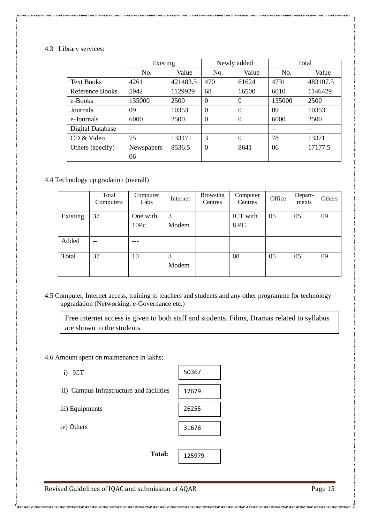#### 4.3 Library services:

|                        | Existing   |          |          | Newly added | Total  |          |  |
|------------------------|------------|----------|----------|-------------|--------|----------|--|
|                        | No.        | Value    | No.      | Value       | No.    | Value    |  |
| <b>Text Books</b>      | 4261       | 421483.5 | 470      | 61624       | 4731   | 483107.5 |  |
| <b>Reference Books</b> | 5942       | 1129929  | 68       | 16500       | 6010   | 1146429  |  |
| e-Books                | 135000     | 2500     | $\theta$ | 0           | 135000 | 2500     |  |
| Journals               | 09         | 10353    | $\Omega$ | $\theta$    | 09     | 10353    |  |
| e-Journals             | 6000       | 2500     | $\Omega$ | $\Omega$    | 6000   | 2500     |  |
| Digital Database       | ۰          |          |          |             | --     | $-$      |  |
| CD & Video             | 75         | 133171   | 3        | $\theta$    | 78     | 13371    |  |
| Others (specify)       | Newspapers | 8536.5   | $\Omega$ | 8641        | 06     | 17177.5  |  |
|                        | 06         |          |          |             |        |          |  |

4.4 Technology up gradation (overall)

|          | Total<br>Computers | Computer<br>Labs  | Internet   | <b>Browsing</b><br>Centres | Computer<br>Centres | Office | Depart-<br>ments | Others |
|----------|--------------------|-------------------|------------|----------------------------|---------------------|--------|------------------|--------|
| Existing | 37                 | One with<br>10Pc. | 3<br>Modem |                            | ICT with<br>8 PC.   | 05     | 05               | 09     |
| Added    | --                 |                   |            |                            |                     |        |                  |        |
| Total    | 37                 | 10                | 3<br>Modem |                            | 08                  | 05     | 05               | 09     |

4.5 Computer, Internet access, training to teachers and students and any other programme for technology upgradation (Networking, e-Governance etc.)

Free internet access is given to both staff and students. Films, Dramas related to syllabus are shown to the students

4.6 Amount spent on maintenance in lakhs:

- i) ICT
- ii) Campus Infrastructure and facilities

iii) Equipments

iv) Others

| 50367 |  |
|-------|--|
|       |  |
| 17679 |  |
|       |  |
| 26255 |  |
|       |  |
| 31678 |  |
|       |  |
|       |  |

125979

Revised Guidelines of IQAC and submission of AQAR Page 15

**Total:**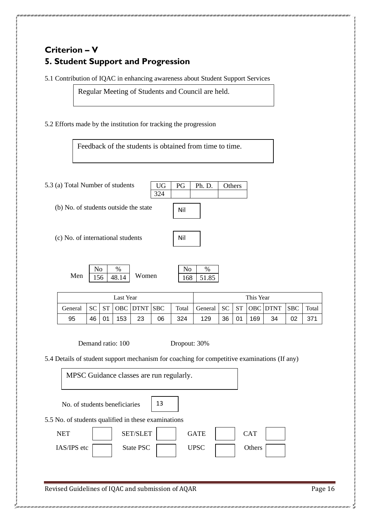# **Criterion – V 5. Student Support and Progression**

5.1 Contribution of IQAC in enhancing awareness about Student Support Services

Regular Meeting of Students and Council are held.

5.2 Efforts made by the institution for tracking the progression

Feedback of the students is obtained from time to time.

324

5.3 (a) Total Number of students

(b) No. of students outside the state

(c) No. of international students

Men  $156$  48.14 Women  $\mathrm{No}$  % 48.14

 $\mathrm{No}$  % 168 51.85

 $UG | PG | Ph.D. | Others$ 

Nil

Nil

| Last Year |     |    |     |                         |    |       |                                      | This Year |    |     |    |    |       |
|-----------|-----|----|-----|-------------------------|----|-------|--------------------------------------|-----------|----|-----|----|----|-------|
| General   | -SC |    |     | $ST$   OBC   DTNT   SBC |    | Total | General   SC   ST   OBC   DTNT   SBC |           |    |     |    |    | Total |
| 95        | 46  | 01 | 153 | 23                      | 06 | 324   | 129                                  | 36        | 01 | 169 | 34 | 02 | 371   |

Demand ratio: 100 Dropout: 30%

5.4 Details of student support mechanism for coaching for competitive examinations (If any)

MPSC Guidance classes are run regularly.

|  | No. of students beneficiaries |  |
|--|-------------------------------|--|
|  |                               |  |

5.5 No. of students qualified in these examinations

| NET         | <b>SET/SLET</b> | <b>GATE</b> | <b>CAT</b> |  |
|-------------|-----------------|-------------|------------|--|
| IAS/IPS etc | State PSC       | <b>UPSC</b> | Others     |  |
|             |                 |             |            |  |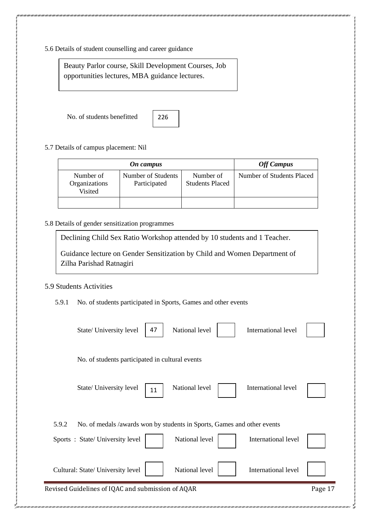5.6 Details of student counselling and career guidance

Beauty Parlor course, Skill Development Courses, Job opportunities lectures, MBA guidance lectures.

No. of students benefitted



5.7 Details of campus placement: Nil

|                                       | <b>Off Campus</b>                  |                                     |                           |
|---------------------------------------|------------------------------------|-------------------------------------|---------------------------|
| Number of<br>Organizations<br>Visited | Number of Students<br>Participated | Number of<br><b>Students Placed</b> | Number of Students Placed |
|                                       |                                    |                                     |                           |

#### 5.8 Details of gender sensitization programmes

Declining Child Sex Ratio Workshop attended by 10 students and 1 Teacher.

Guidance lecture on Gender Sensitization by Child and Women Department of Zilha Parishad Ratnagiri

#### 5.9 Students Activities

5.9.1 No. of students participated in Sports, Games and other events

| 47<br>State/ University level                                                    | National level | International level |         |
|----------------------------------------------------------------------------------|----------------|---------------------|---------|
| No. of students participated in cultural events                                  |                |                     |         |
| State/ University level<br>11                                                    | National level | International level |         |
| 5.9.2<br>No. of medals /awards won by students in Sports, Games and other events |                |                     |         |
| Sports: State/University level                                                   | National level | International level |         |
| Cultural: State/ University level                                                | National level | International level |         |
| Revised Guidelines of IQAC and submission of AQAR                                |                |                     | Page 17 |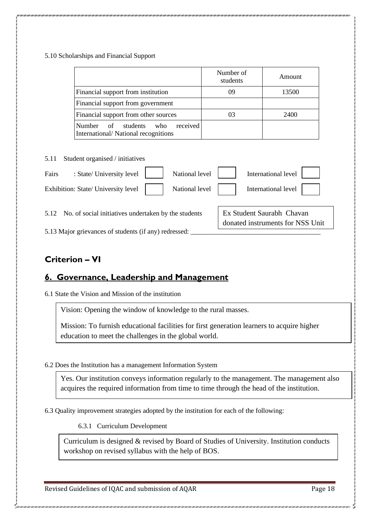#### 5.10 Scholarships and Financial Support

| 09<br>03 | 13500<br>2400                                                 |
|----------|---------------------------------------------------------------|
|          |                                                               |
|          |                                                               |
|          |                                                               |
|          |                                                               |
|          | International level                                           |
|          | International level                                           |
|          | Ex Student Saurabh Chavan<br>donated instruments for NSS Unit |
|          |                                                               |

### **Criterion – VI**

### **6. Governance, Leadership and Management**

6.1 State the Vision and Mission of the institution

Vision: Opening the window of knowledge to the rural masses.

Mission: To furnish educational facilities for first generation learners to acquire higher education to meet the challenges in the global world.

6.2 Does the Institution has a management Information System

Yes. Our institution conveys information regularly to the management. The management also acquires the required information from time to time through the head of the institution.

6.3 Quality improvement strategies adopted by the institution for each of the following:

6.3.1 Curriculum Development

Curriculum is designed & revised by Board of Studies of University. Institution conducts workshop on revised syllabus with the help of BOS.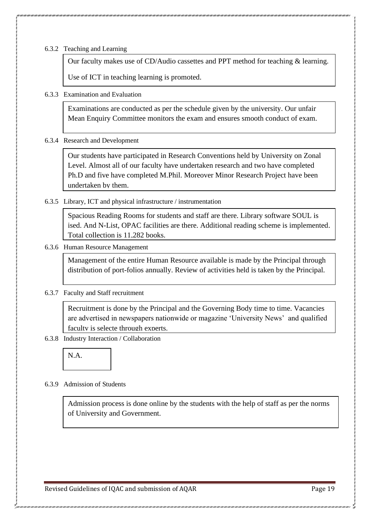6.3.2 Teaching and Learning

Our faculty makes use of CD/Audio cassettes and PPT method for teaching & learning.

Use of ICT in teaching learning is promoted.

6.3.3 Examination and Evaluation

Examinations are conducted as per the schedule given by the university. Our unfair Mean Enquiry Committee monitors the exam and ensures smooth conduct of exam.

6.3.4 Research and Development

Our students have participated in Research Conventions held by University on Zonal Level. Almost all of our faculty have undertaken research and two have completed Ph.D and five have completed M.Phil. Moreover Minor Research Project have been undertaken by them.

6.3.5 Library, ICT and physical infrastructure / instrumentation

Spacious Reading Rooms for students and staff are there. Library software SOUL is ised. And N-List, OPAC facilities are there. Additional reading scheme is implemented. Total collection is 11,282 books.

6.3.6 Human Resource Management

Management of the entire Human Resource available is made by the Principal through distribution of port-folios annually. Review of activities held is taken by the Principal.

6.3.7 Faculty and Staff recruitment

Recruitment is done by the Principal and the Governing Body time to time. Vacancies are advertised in newspapers nationwide or magazine 'University News' and qualified faculty is selecte through experts.

6.3.8 Industry Interaction / Collaboration



6.3.9 Admission of Students

Admission process is done online by the students with the help of staff as per the norms of University and Government.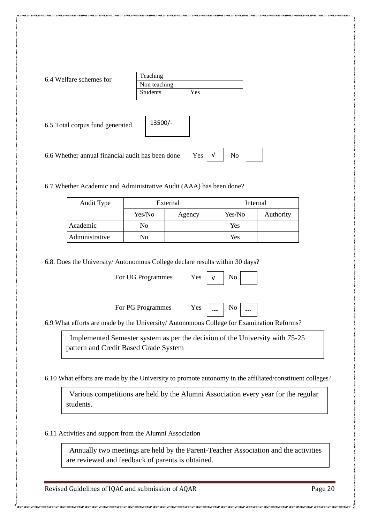| 6.4 Welfare schemes for |
|-------------------------|
|-------------------------|

| Teaching        |     |
|-----------------|-----|
| Non teaching    |     |
| <b>Students</b> | Yes |

6.5 Total corpus fund generated

| 13500/- |  |
|---------|--|
|         |  |
|         |  |
|         |  |

 $Yes$   $V$   $No$ 

6.6 Whether annual financial audit has been done

6.7 Whether Academic and Administrative Audit (AAA) has been done?

| Audit Type     | External |        | Internal |           |
|----------------|----------|--------|----------|-----------|
|                | Yes/No   | Agency | Yes/No   | Authority |
| Academic       | No       |        | Yes      |           |
| Administrative | No       |        | Yes      |           |

6.8. Does the University/ Autonomous College declare results within 30 days?

For UG Programmes Yes

For PG Programmes Yes



√

6.9 What efforts are made by the University/ Autonomous College for Examination Reforms?

 Implemented Semester system as per the decision of the University with 75-25 pattern and Credit Based Grade System

6.10 What efforts are made by the University to promote autonomy in the affiliated/constituent colleges?

 Various competitions are held by the Alumni Association every year for the regular students.

6.11 Activities and support from the Alumni Association

 Annually two meetings are held by the Parent-Teacher Association and the activities are reviewed and feedback of parents is obtained.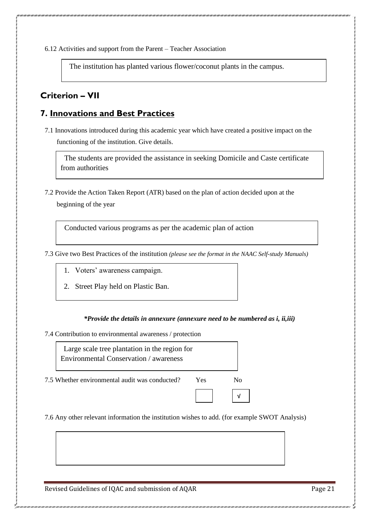6.12 Activities and support from the Parent – Teacher Association

The institution has planted various flower/coconut plants in the campus.

### **Criterion – VII**

### **7. Innovations and Best Practices**

7.1 Innovations introduced during this academic year which have created a positive impact on the functioning of the institution. Give details.

 The students are provided the assistance in seeking Domicile and Caste certificate from authorities

7.2 Provide the Action Taken Report (ATR) based on the plan of action decided upon at the

beginning of the year

Conducted various programs as per the academic plan of action

7.3 Give two Best Practices of the institution *(please see the format in the NAAC Self-study Manuals)*

- 1. Voters' awareness campaign.
- 2. Street Play held on Plastic Ban.

#### *\*Provide the details in annexure (annexure need to be numbered as i, ii,iii)*

7.4 Contribution to environmental awareness / protection



7.6 Any other relevant information the institution wishes to add. (for example SWOT Analysis)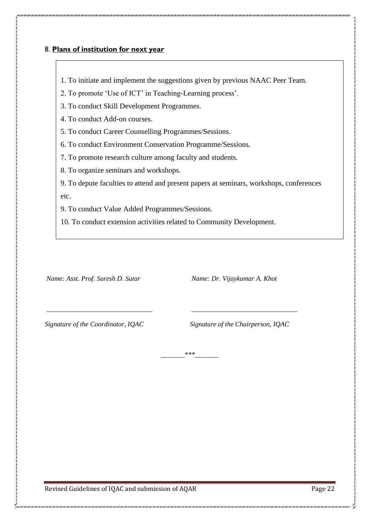#### 8. **Plans of institution for next year**

- 1. To initiate and implement the suggestions given by previous NAAC Peer Team.
- 2. To promote 'Use of ICT' in Teaching-Learning process'.
- 3. To conduct Skill Development Programmes.
- 4. To conduct Add-on courses.
- 5. To conduct Career Counselling Programmes/Sessions.
- 6. To conduct Environment Conservation Programme/Sessions.
- 7. To promote research culture among faculty and students.
- 8. To organize seminars and workshops.
- 9. To depute faculties to attend and present papers at seminars, workshops, conferences etc.
- 9. To conduct Value Added Programmes/Sessions.
- 10. To conduct extension activities related to Community Development.

*\_\_\_\_\_\_\_\_\_\_\_\_\_\_\_\_\_\_\_\_\_\_\_\_\_\_\_\_\_\_\_ \_\_\_\_\_\_\_\_\_\_\_\_\_\_\_\_\_\_\_\_\_\_\_\_\_\_\_\_\_\_\_* 

*\_\_\_\_\_\_\_\*\*\*\_\_\_\_\_\_\_*

*Name: Asst. Prof. Suresh D. Sutar* Name: *Dr. Vijaykumar A. Khot* 

*Signature of the Coordinator, IQAC Signature of the Chairperson, IQAC*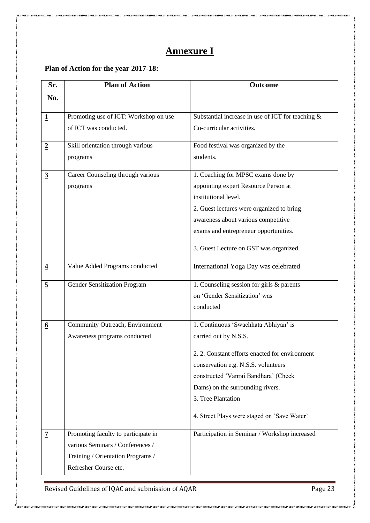# **Annexure I**

# **Plan of Action for the year 2017-18:**

| Sr.                     | <b>Plan of Action</b>                 | <b>Outcome</b>                                       |
|-------------------------|---------------------------------------|------------------------------------------------------|
| No.                     |                                       |                                                      |
|                         |                                       |                                                      |
| $\mathbf 1$             | Promoting use of ICT: Workshop on use | Substantial increase in use of ICT for teaching $\&$ |
|                         | of ICT was conducted.                 | Co-curricular activities.                            |
| $\overline{2}$          | Skill orientation through various     | Food festival was organized by the                   |
|                         | programs                              | students.                                            |
| $\overline{3}$          | Career Counseling through various     | 1. Coaching for MPSC exams done by                   |
|                         | programs                              | appointing expert Resource Person at                 |
|                         |                                       | institutional level.                                 |
|                         |                                       | 2. Guest lectures were organized to bring            |
|                         |                                       | awareness about various competitive                  |
|                         |                                       | exams and entrepreneur opportunities.                |
|                         |                                       | 3. Guest Lecture on GST was organized                |
| $\overline{\mathbf{4}}$ | Value Added Programs conducted        | International Yoga Day was celebrated                |
| $\overline{5}$          | <b>Gender Sensitization Program</b>   | 1. Counseling session for girls & parents            |
|                         |                                       | on 'Gender Sensitization' was                        |
|                         |                                       | conducted                                            |
| $\underline{6}$         | Community Outreach, Environment       | 1. Continuous 'Swachhata Abhiyan' is                 |
|                         | Awareness programs conducted          | carried out by N.S.S.                                |
|                         |                                       | 2. 2. Constant efforts enacted for environment       |
|                         |                                       | conservation e.g. N.S.S. volunteers                  |
|                         |                                       | constructed 'Vanrai Bandhara' (Check                 |
|                         |                                       | Dams) on the surrounding rivers.                     |
|                         |                                       | 3. Tree Plantation                                   |
|                         |                                       | 4. Street Plays were staged on 'Save Water'          |
| $\overline{1}$          | Promoting faculty to participate in   | Participation in Seminar / Workshop increased        |
|                         | various Seminars / Conferences /      |                                                      |
|                         | Training / Orientation Programs /     |                                                      |
|                         | Refresher Course etc.                 |                                                      |

Revised Guidelines of IQAC and submission of AQAR Page 23

ر<br>محمد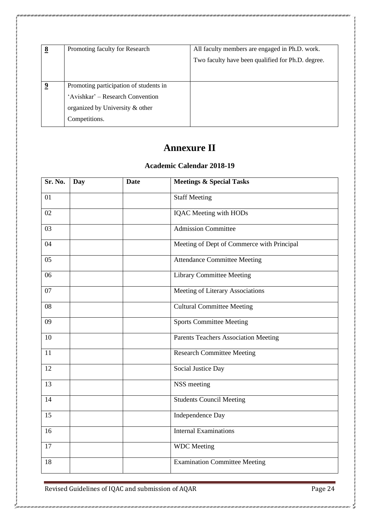| 8 | Promoting faculty for Research         | All faculty members are engaged in Ph.D. work.    |
|---|----------------------------------------|---------------------------------------------------|
|   |                                        | Two faculty have been qualified for Ph.D. degree. |
|   |                                        |                                                   |
| 9 | Promoting participation of students in |                                                   |
|   | 'Avishkar' – Research Convention       |                                                   |
|   | organized by University & other        |                                                   |
|   | Competitions.                          |                                                   |

# **Annexure II**

### **Academic Calendar 2018-19**

| Sr. No. | <b>Day</b> | <b>Date</b> | <b>Meetings &amp; Special Tasks</b>        |  |
|---------|------------|-------------|--------------------------------------------|--|
| 01      |            |             | <b>Staff Meeting</b>                       |  |
| 02      |            |             | <b>IQAC</b> Meeting with HODs              |  |
| 03      |            |             | <b>Admission Committee</b>                 |  |
| 04      |            |             | Meeting of Dept of Commerce with Principal |  |
| 05      |            |             | <b>Attendance Committee Meeting</b>        |  |
| 06      |            |             | <b>Library Committee Meeting</b>           |  |
| 07      |            |             | Meeting of Literary Associations           |  |
| 08      |            |             | <b>Cultural Committee Meeting</b>          |  |
| 09      |            |             | <b>Sports Committee Meeting</b>            |  |
| 10      |            |             | Parents Teachers Association Meeting       |  |
| 11      |            |             | <b>Research Committee Meeting</b>          |  |
| 12      |            |             | Social Justice Day                         |  |
| 13      |            |             | NSS meeting                                |  |
| 14      |            |             | <b>Students Council Meeting</b>            |  |
| 15      |            |             | Independence Day                           |  |
| 16      |            |             | <b>Internal Examinations</b>               |  |
| 17      |            |             | <b>WDC</b> Meeting                         |  |
| 18      |            |             | <b>Examination Committee Meeting</b>       |  |

Revised Guidelines of IQAC and submission of AQAR Page 24

S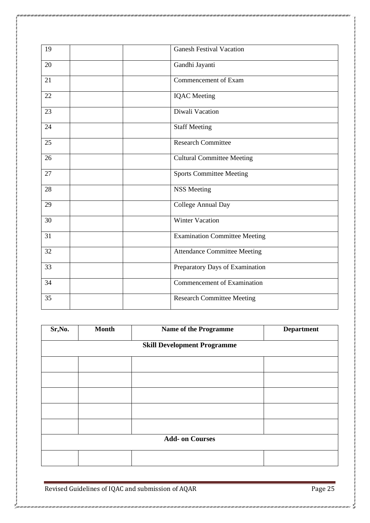| 19 | <b>Ganesh Festival Vacation</b>      |
|----|--------------------------------------|
| 20 | Gandhi Jayanti                       |
| 21 | Commencement of Exam                 |
| 22 | <b>IQAC</b> Meeting                  |
| 23 | Diwali Vacation                      |
| 24 | <b>Staff Meeting</b>                 |
| 25 | <b>Research Committee</b>            |
| 26 | <b>Cultural Committee Meeting</b>    |
| 27 | <b>Sports Committee Meeting</b>      |
| 28 | <b>NSS Meeting</b>                   |
| 29 | College Annual Day                   |
| 30 | <b>Winter Vacation</b>               |
| 31 | <b>Examination Committee Meeting</b> |
| 32 | <b>Attendance Committee Meeting</b>  |
| 33 | Preparatory Days of Examination      |
| 34 | <b>Commencement of Examination</b>   |
| 35 | <b>Research Committee Meeting</b>    |
|    |                                      |

| Sr, No.                | <b>Month</b>                       | <b>Name of the Programme</b> | <b>Department</b> |
|------------------------|------------------------------------|------------------------------|-------------------|
|                        | <b>Skill Development Programme</b> |                              |                   |
|                        |                                    |                              |                   |
|                        |                                    |                              |                   |
|                        |                                    |                              |                   |
|                        |                                    |                              |                   |
|                        |                                    |                              |                   |
| <b>Add- on Courses</b> |                                    |                              |                   |
|                        |                                    |                              |                   |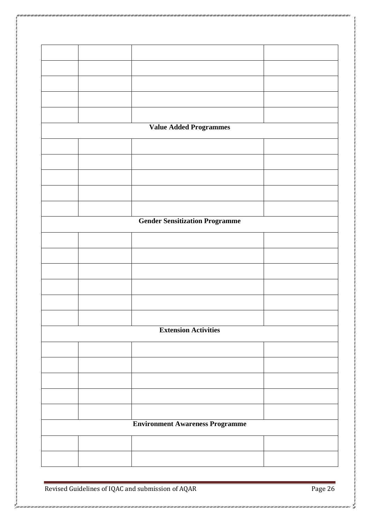|  | <b>Value Added Programmes</b>          |  |
|--|----------------------------------------|--|
|  |                                        |  |
|  |                                        |  |
|  |                                        |  |
|  |                                        |  |
|  |                                        |  |
|  | <b>Gender Sensitization Programme</b>  |  |
|  |                                        |  |
|  |                                        |  |
|  |                                        |  |
|  |                                        |  |
|  |                                        |  |
|  |                                        |  |
|  | <b>Extension Activities</b>            |  |
|  |                                        |  |
|  |                                        |  |
|  |                                        |  |
|  |                                        |  |
|  |                                        |  |
|  |                                        |  |
|  | <b>Environment Awareness Programme</b> |  |
|  |                                        |  |
|  |                                        |  |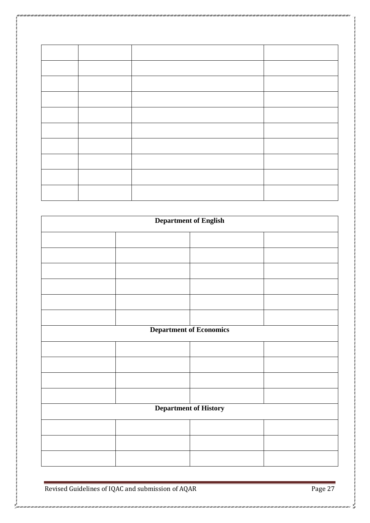| <b>Department of English</b>   |  |  |  |
|--------------------------------|--|--|--|
|                                |  |  |  |
|                                |  |  |  |
|                                |  |  |  |
|                                |  |  |  |
|                                |  |  |  |
|                                |  |  |  |
| <b>Department of Economics</b> |  |  |  |
|                                |  |  |  |
|                                |  |  |  |
|                                |  |  |  |
|                                |  |  |  |
| <b>Department of History</b>   |  |  |  |
|                                |  |  |  |
|                                |  |  |  |
|                                |  |  |  |

ر<br>پي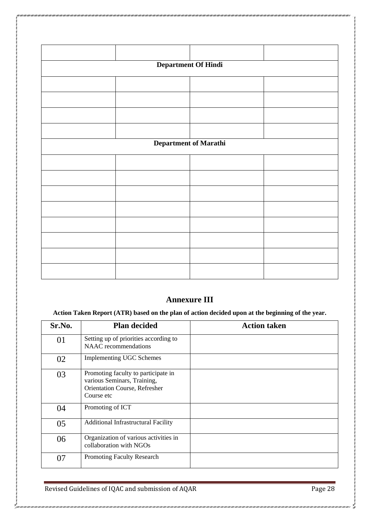|                       | <b>Department Of Hindi</b> |  |
|-----------------------|----------------------------|--|
|                       |                            |  |
|                       |                            |  |
|                       |                            |  |
|                       |                            |  |
| Department of Marathi |                            |  |
|                       |                            |  |
|                       |                            |  |
|                       |                            |  |
|                       |                            |  |
|                       |                            |  |
|                       |                            |  |
|                       |                            |  |
|                       |                            |  |

### **Annexure III**

**Action Taken Report (ATR) based on the plan of action decided upon at the beginning of the year.**

| Sr.No. | <b>Plan decided</b>                                                                                                      | <b>Action taken</b> |
|--------|--------------------------------------------------------------------------------------------------------------------------|---------------------|
| 01     | Setting up of priorities according to<br><b>NAAC</b> recommendations                                                     |                     |
| 02     | <b>Implementing UGC Schemes</b>                                                                                          |                     |
| 03     | Promoting faculty to participate in<br>various Seminars, Training,<br><b>Orientation Course, Refresher</b><br>Course etc |                     |
| 04     | Promoting of ICT                                                                                                         |                     |
| 05     | <b>Additional Infrastructural Facility</b>                                                                               |                     |
| 06     | Organization of various activities in<br>collaboration with NGOs                                                         |                     |
| 07     | <b>Promoting Faculty Research</b>                                                                                        |                     |

Revised Guidelines of IQAC and submission of AQAR Page 28

urzawzanizarzawz

ź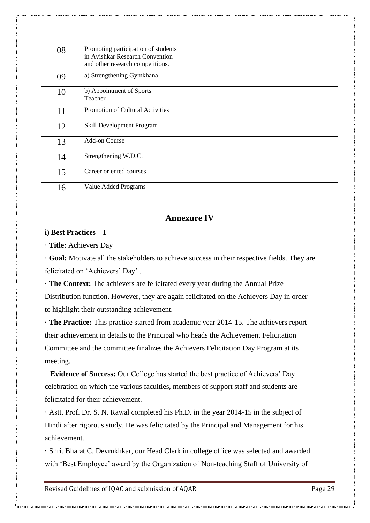| 08 | Promoting participation of students<br>in Avishkar Research Convention<br>and other research competitions. |  |
|----|------------------------------------------------------------------------------------------------------------|--|
| 09 | a) Strengthening Gymkhana                                                                                  |  |
| 10 | b) Appointment of Sports<br>Teacher                                                                        |  |
| 11 | <b>Promotion of Cultural Activities</b>                                                                    |  |
| 12 | Skill Development Program                                                                                  |  |
| 13 | Add-on Course                                                                                              |  |
| 14 | Strengthening W.D.C.                                                                                       |  |
| 15 | Career oriented courses                                                                                    |  |
| 16 | Value Added Programs                                                                                       |  |

#### **Annexure IV**

#### **i) Best Practices – I**

· **Title:** Achievers Day

· **Goal:** Motivate all the stakeholders to achieve success in their respective fields. They are felicitated on 'Achievers' Day' .

· **The Context:** The achievers are felicitated every year during the Annual Prize Distribution function. However, they are again felicitated on the Achievers Day in order to highlight their outstanding achievement.

· **The Practice:** This practice started from academic year 2014-15. The achievers report their achievement in details to the Principal who heads the Achievement Felicitation Committee and the committee finalizes the Achievers Felicitation Day Program at its meeting.

\_ **Evidence of Success:** Our College has started the best practice of Achievers' Day celebration on which the various faculties, members of support staff and students are felicitated for their achievement.

· Astt. Prof. Dr. S. N. Rawal completed his Ph.D. in the year 2014-15 in the subject of Hindi after rigorous study. He was felicitated by the Principal and Management for his achievement.

· Shri. Bharat C. Devrukhkar, our Head Clerk in college office was selected and awarded with 'Best Employee' award by the Organization of Non-teaching Staff of University of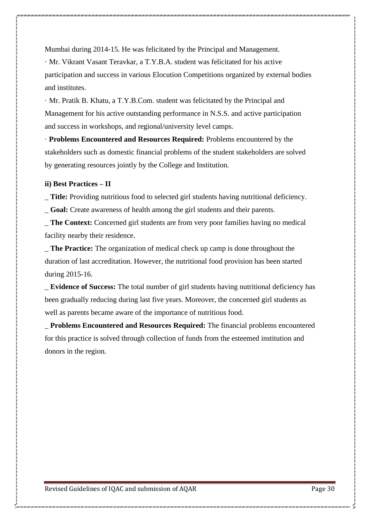Mumbai during 2014-15. He was felicitated by the Principal and Management.

· Mr. Vikrant Vasant Teravkar, a T.Y.B.A. student was felicitated for his active participation and success in various Elocution Competitions organized by external bodies and institutes.

· Mr. Pratik B. Khatu, a T.Y.B.Com. student was felicitated by the Principal and Management for his active outstanding performance in N.S.S. and active participation and success in workshops, and regional/university level camps.

· **Problems Encountered and Resources Required:** Problems encountered by the stakeholders such as domestic financial problems of the student stakeholders are solved by generating resources jointly by the College and Institution.

#### **ii) Best Practices – II**

\_ **Title:** Providing nutritious food to selected girl students having nutritional deficiency.

\_ **Goal:** Create awareness of health among the girl students and their parents.

**The Context:** Concerned girl students are from very poor families having no medical facility nearby their residence.

\_ **The Practice:** The organization of medical check up camp is done throughout the duration of last accreditation. However, the nutritional food provision has been started during 2015-16.

\_ **Evidence of Success:** The total number of girl students having nutritional deficiency has been gradually reducing during last five years. Moreover, the concerned girl students as well as parents became aware of the importance of nutritious food.

\_ **Problems Encountered and Resources Required:** The financial problems encountered for this practice is solved through collection of funds from the esteemed institution and donors in the region.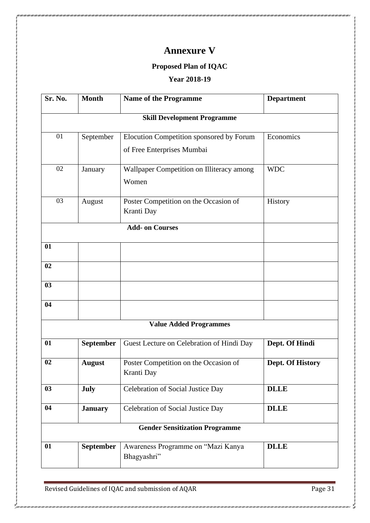# **Annexure V**

### **Proposed Plan of IQAC**

### **Year 2018-19**

| Sr. No. | <b>Month</b>     | <b>Name of the Programme</b>              | <b>Department</b> |
|---------|------------------|-------------------------------------------|-------------------|
|         |                  | <b>Skill Development Programme</b>        |                   |
| 01      | September        | Elocution Competition sponsored by Forum  | Economics         |
|         |                  | of Free Enterprises Mumbai                |                   |
| 02      | January          | Wallpaper Competition on Illiteracy among | <b>WDC</b>        |
|         |                  | Women                                     |                   |
| 03      | August           | Poster Competition on the Occasion of     | History           |
|         |                  | Kranti Day                                |                   |
|         |                  | <b>Add- on Courses</b>                    |                   |
| 01      |                  |                                           |                   |
| 02      |                  |                                           |                   |
| 03      |                  |                                           |                   |
| 04      |                  |                                           |                   |
|         |                  | <b>Value Added Programmes</b>             |                   |
| 01      | <b>September</b> | Guest Lecture on Celebration of Hindi Day | Dept. Of Hindi    |
| 02      | <b>August</b>    | Poster Competition on the Occasion of     | Dept. Of History  |
|         |                  | Kranti Day                                |                   |
| 03      | July             | Celebration of Social Justice Day         | <b>DLLE</b>       |
| 04      | <b>January</b>   | Celebration of Social Justice Day         | <b>DLLE</b>       |
|         |                  | <b>Gender Sensitization Programme</b>     |                   |
| 01      | September        | Awareness Programme on "Mazi Kanya        | <b>DLLE</b>       |
|         |                  | Bhagyashri"                               |                   |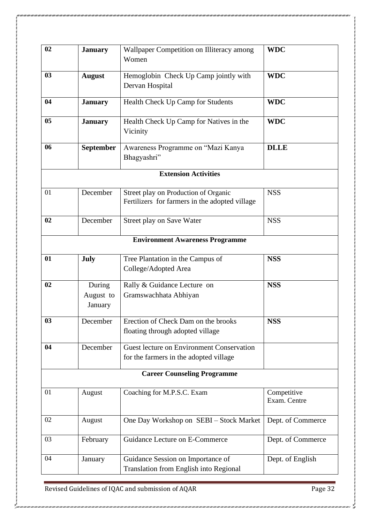| 02 | <b>January</b>                 | Wallpaper Competition on Illiteracy among<br>Women                                     | <b>WDC</b>                  |
|----|--------------------------------|----------------------------------------------------------------------------------------|-----------------------------|
| 03 | <b>August</b>                  | Hemoglobin Check Up Camp jointly with<br>Dervan Hospital                               | <b>WDC</b>                  |
| 04 | <b>January</b>                 | Health Check Up Camp for Students                                                      | <b>WDC</b>                  |
| 05 | <b>January</b>                 | Health Check Up Camp for Natives in the<br>Vicinity                                    | <b>WDC</b>                  |
| 06 | <b>September</b>               | Awareness Programme on "Mazi Kanya<br>Bhagyashri"                                      | <b>DLLE</b>                 |
|    |                                | <b>Extension Activities</b>                                                            |                             |
| 01 | December                       | Street play on Production of Organic<br>Fertilizers for farmers in the adopted village | <b>NSS</b>                  |
| 02 | December                       | Street play on Save Water                                                              | <b>NSS</b>                  |
|    |                                | <b>Environment Awareness Programme</b>                                                 |                             |
| 01 | July                           | Tree Plantation in the Campus of<br>College/Adopted Area                               | <b>NSS</b>                  |
| 02 | During<br>August to<br>January | Rally & Guidance Lecture on<br>Gramswachhata Abhiyan                                   | <b>NSS</b>                  |
| 03 | December                       | Erection of Check Dam on the brooks<br>floating through adopted village                | <b>NSS</b>                  |
| 04 | December                       | Guest lecture on Environment Conservation<br>for the farmers in the adopted village    |                             |
|    |                                | <b>Career Counseling Programme</b>                                                     |                             |
| 01 | August                         | Coaching for M.P.S.C. Exam                                                             | Competitive<br>Exam. Centre |
| 02 | August                         | One Day Workshop on SEBI - Stock Market                                                | Dept. of Commerce           |
| 03 | February                       | Guidance Lecture on E-Commerce                                                         | Dept. of Commerce           |
| 04 | January                        | Guidance Session on Importance of<br>Translation from English into Regional            | Dept. of English            |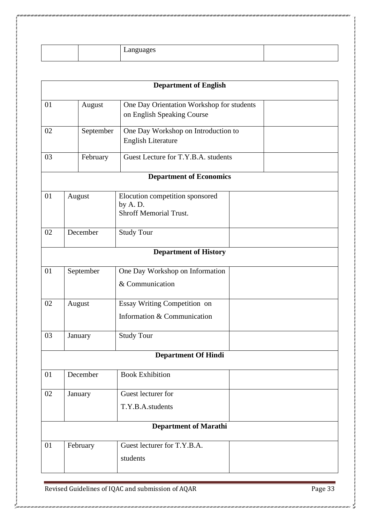|  | −an⊊<br>zuages<br>Lang |  |
|--|------------------------|--|

|    |           | <b>Department of English</b>                                                |
|----|-----------|-----------------------------------------------------------------------------|
| 01 | August    | One Day Orientation Workshop for students<br>on English Speaking Course     |
| 02 | September | One Day Workshop on Introduction to<br><b>English Literature</b>            |
| 03 | February  | Guest Lecture for T.Y.B.A. students                                         |
|    |           | <b>Department of Economics</b>                                              |
| 01 | August    | Elocution competition sponsored<br>by A.D.<br><b>Shroff Memorial Trust.</b> |
| 02 | December  | <b>Study Tour</b>                                                           |
|    |           | <b>Department of History</b>                                                |
| 01 | September | One Day Workshop on Information<br>& Communication                          |
| 02 | August    | Essay Writing Competition on<br>Information & Communication                 |
| 03 | January   | <b>Study Tour</b>                                                           |
|    |           | <b>Department Of Hindi</b>                                                  |
| 01 | December  | <b>Book Exhibition</b>                                                      |
| 02 | January   | Guest lecturer for<br>T.Y.B.A.students                                      |
|    |           | <b>Department of Marathi</b>                                                |
| 01 | February  | Guest lecturer for T.Y.B.A.<br>students                                     |

urzan zan zan zan